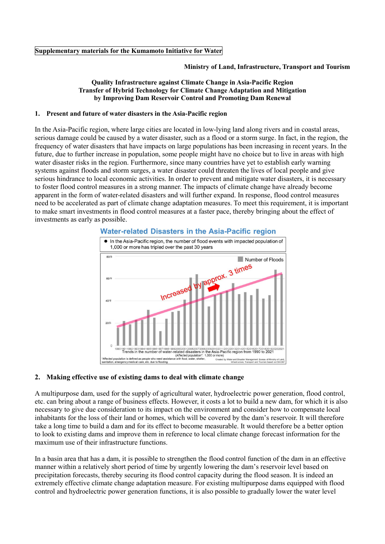### **Ministry of Land, Infrastructure, Transport and Tourism**

### **Quality Infrastructure against Climate Change in Asia-Pacific Region Transfer of Hybrid Technology for Climate Change Adaptation and Mitigation by Improving Dam Reservoir Control and Promoting Dam Renewal**

### **1. Present and future of water disasters in the Asia-Pacific region**

In the Asia-Pacific region, where large cities are located in low-lying land along rivers and in coastal areas, serious damage could be caused by a water disaster, such as a flood or a storm surge. In fact, in the region, the frequency of water disasters that have impacts on large populations has been increasing in recent years. In the future, due to further increase in population, some people might have no choice but to live in areas with high water disaster risks in the region. Furthermore, since many countries have yet to establish early warning systems against floods and storm surges, a water disaster could threaten the lives of local people and give serious hindrance to local economic activities. In order to prevent and mitigate water disasters, it is necessary to foster flood control measures in a strong manner. The impacts of climate change have already become apparent in the form of water-related disasters and will further expand. In response, flood control measures need to be accelerated as part of climate change adaptation measures. To meet this requirement, it is important to make smart investments in flood control measures at a faster pace, thereby bringing about the effect of investments as early as possible.



# Water-related Disasters in the Asia-Pacific region

#### **2. Making effective use of existing dams to deal with climate change**

A multipurpose dam, used for the supply of agricultural water, hydroelectric power generation, flood control, etc. can bring about a range of business effects. However, it costs a lot to build a new dam, for which it is also necessary to give due consideration to its impact on the environment and consider how to compensate local inhabitants for the loss of their land or homes, which will be covered by the dam's reservoir. It will therefore take a long time to build a dam and for its effect to become measurable. It would therefore be a better option to look to existing dams and improve them in reference to local climate change forecast information for the maximum use of their infrastructure functions.

In a basin area that has a dam, it is possible to strengthen the flood control function of the dam in an effective manner within a relatively short period of time by urgently lowering the dam's reservoir level based on precipitation forecasts, thereby securing its flood control capacity during the flood season. It is indeed an extremely effective climate change adaptation measure. For existing multipurpose dams equipped with flood control and hydroelectric power generation functions, it is also possible to gradually lower the water level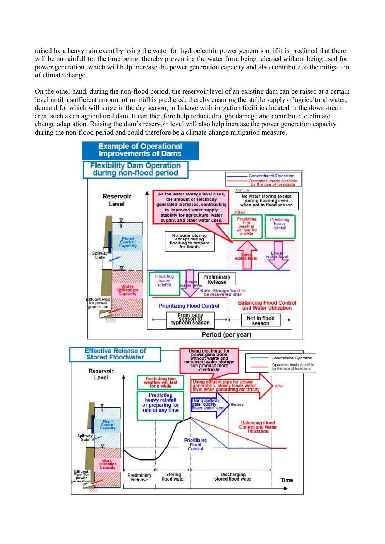raised by a heavy rain event by using the water for hydroelectric power generation, if it is predicted that there will be no rainfall for the time being, thereby preventing the water from being released without being used for power generation, which will help increase the power generation capacity and also contribute to the mitigation of climate change.

On the other hand, during the non-flood period, the reservoir level of an existing dam can be raised at a certain level until a sufficient amount of rainfall is predicted, thereby ensuring the stable supply of agricultural water, demand for which will surge in the dry season, in linkage with irrigation facilities located in the downstream area, such as an agricultural dam. It can therefore help reduce drought damage and contribute to climate change adaptation. Raising the dam's reservoir level will also help increase the power generation capacity during the non-flood period and could therefore be a climate change mitigation measure.

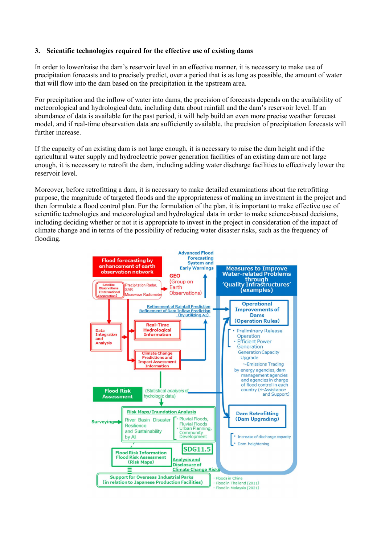# **3. Scientific technologies required for the effective use of existing dams**

In order to lower/raise the dam's reservoir level in an effective manner, it is necessary to make use of precipitation forecasts and to precisely predict, over a period that is as long as possible, the amount of water that will flow into the dam based on the precipitation in the upstream area.

For precipitation and the inflow of water into dams, the precision of forecasts depends on the availability of meteorological and hydrological data, including data about rainfall and the dam's reservoir level. If an abundance of data is available for the past period, it will help build an even more precise weather forecast model, and if real-time observation data are sufficiently available, the precision of precipitation forecasts will further increase.

If the capacity of an existing dam is not large enough, it is necessary to raise the dam height and if the agricultural water supply and hydroelectric power generation facilities of an existing dam are not large enough, it is necessary to retrofit the dam, including adding water discharge facilities to effectively lower the reservoir level.

Moreover, before retrofitting a dam, it is necessary to make detailed examinations about the retrofitting purpose, the magnitude of targeted floods and the appropriateness of making an investment in the project and then formulate a flood control plan. For the formulation of the plan, it is important to make effective use of scientific technologies and meteorological and hydrological data in order to make science-based decisions, including deciding whether or not it is appropriate to invest in the project in consideration of the impact of climate change and in terms of the possibility of reducing water disaster risks, such as the frequency of flooding.

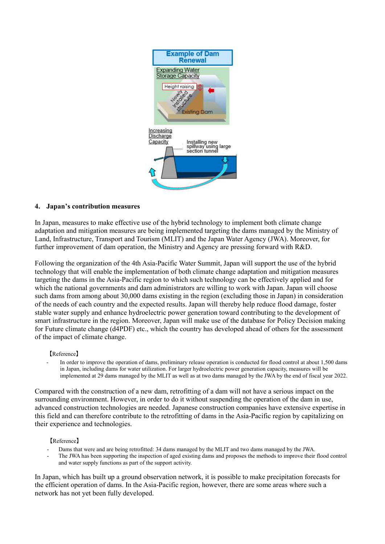

## **4. Japan's contribution measures**

In Japan, measures to make effective use of the hybrid technology to implement both climate change adaptation and mitigation measures are being implemented targeting the dams managed by the Ministry of Land, Infrastructure, Transport and Tourism (MLIT) and the Japan Water Agency (JWA). Moreover, for further improvement of dam operation, the Ministry and Agency are pressing forward with R&D.

Following the organization of the 4th Asia-Pacific Water Summit, Japan will support the use of the hybrid technology that will enable the implementation of both climate change adaptation and mitigation measures targeting the dams in the Asia-Pacific region to which such technology can be effectively applied and for which the national governments and dam administrators are willing to work with Japan. Japan will choose such dams from among about 30,000 dams existing in the region (excluding those in Japan) in consideration of the needs of each country and the expected results. Japan will thereby help reduce flood damage, foster stable water supply and enhance hydroelectric power generation toward contributing to the development of smart infrastructure in the region. Moreover, Japan will make use of the database for Policy Decision making for Future climate change (d4PDF) etc., which the country has developed ahead of others for the assessment of the impact of climate change.

## 【Reference】

In order to improve the operation of dams, preliminary release operation is conducted for flood control at about 1,500 dams in Japan, including dams for water utilization. For larger hydroelectric power generation capacity, measures will be implemented at 29 dams managed by the MLIT as well as at two dams managed by the JWA by the end of fiscal year 2022.

Compared with the construction of a new dam, retrofitting of a dam will not have a serious impact on the surrounding environment. However, in order to do it without suspending the operation of the dam in use, advanced construction technologies are needed. Japanese construction companies have extensive expertise in this field and can therefore contribute to the retrofitting of dams in the Asia-Pacific region by capitalizing on their experience and technologies.

## 【Reference】

- Dams that were and are being retrofitted: 34 dams managed by the MLIT and two dams managed by the JWA.
- The JWA has been supporting the inspection of aged existing dams and proposes the methods to improve their flood control and water supply functions as part of the support activity.

In Japan, which has built up a ground observation network, it is possible to make precipitation forecasts for the efficient operation of dams. In the Asia-Pacific region, however, there are some areas where such a network has not yet been fully developed.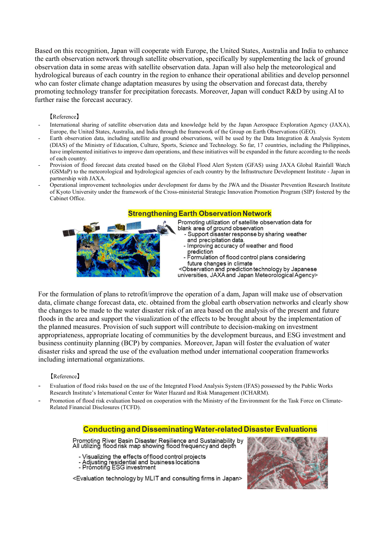Based on this recognition, Japan will cooperate with Europe, the United States, Australia and India to enhance the earth observation network through satellite observation, specifically by supplementing the lack of ground observation data in some areas with satellite observation data. Japan will also help the meteorological and hydrological bureaus of each country in the region to enhance their operational abilities and develop personnel who can foster climate change adaptation measures by using the observation and forecast data, thereby promoting technology transfer for precipitation forecasts. Moreover, Japan will conduct R&D by using AI to further raise the forecast accuracy.

### 【Reference】

- International sharing of satellite observation data and knowledge held by the Japan Aerospace Exploration Agency (JAXA), Europe, the United States, Australia, and India through the framework of the Group on Earth Observations (GEO).
- Earth observation data, including satellite and ground observations, will be used by the Data Integration & Analysis System (DIAS) of the Ministry of Education, Culture, Sports, Science and Technology. So far, 17 countries, including the Philippines, have implemented initiatives to improve dam operations, and these initiatives will be expanded in the future according to the needs of each country.
- Provision of flood forecast data created based on the Global Flood Alert System (GFAS) using JAXA Global Rainfall Watch (GSMaP) to the meteorological and hydrological agencies of each country by the Infrastructure Development Institute - Japan in partnership with JAXA.
- Operational improvement technologies under development for dams by the JWA and the Disaster Prevention Research Institute of Kyoto University under the framework of the Cross-ministerial Strategic Innovation Promotion Program (SIP) fostered by the Cabinet Office.

# **Strengthening Earth Observation Network**



For the formulation of plans to retrofit/improve the operation of a dam, Japan will make use of observation data, climate change forecast data, etc. obtained from the global earth observation networks and clearly show the changes to be made to the water disaster risk of an area based on the analysis of the present and future floods in the area and support the visualization of the effects to be brought about by the implementation of the planned measures. Provision of such support will contribute to decision-making on investment appropriateness, appropriate locating of communities by the development bureaus, and ESG investment and business continuity planning (BCP) by companies. Moreover, Japan will foster the evaluation of water disaster risks and spread the use of the evaluation method under international cooperation frameworks including international organizations.

#### 【Reference】

- Evaluation of flood risks based on the use of the Integrated Flood Analysis System (IFAS) possessed by the Public Works Research Institute's International Center for Water Hazard and Risk Management (ICHARM).
- Promotion of flood risk evaluation based on cooperation with the Ministry of the Environment for the Task Force on Climate-Related Financial Disclosures (TCFD).

## **Conducting and Disseminating Water-related Disaster Evaluations**

Promoting River Basin Disaster Resilience and Sustainability by<br>All utilizing flood risk map showing flood frequency and depth

- Visualizing the effects of flood control projects
- Adjusting residential and business locations<br>- Promoting ESG investment
- 

<Evaluation technology by MLIT and consulting firms in Japan>